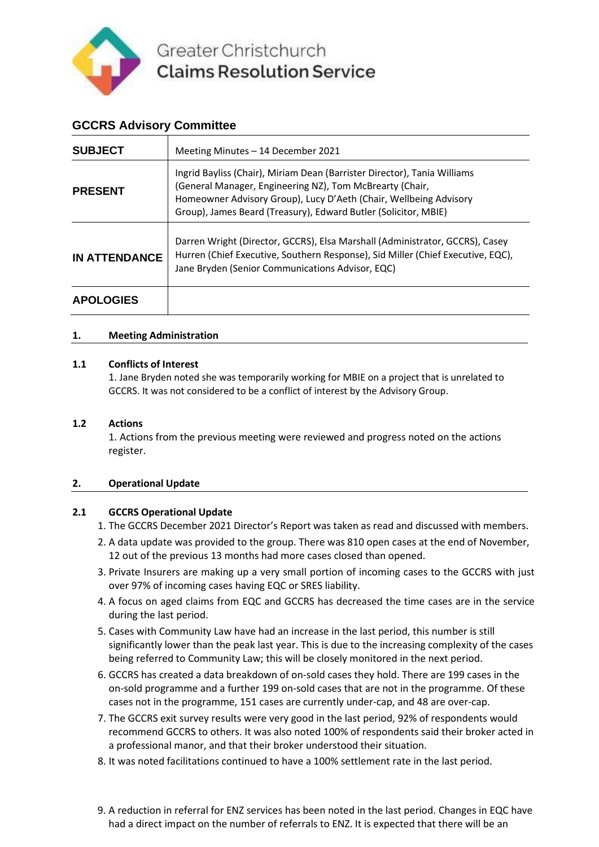

# **GCCRS Advisory Committee**

| <b>SUBJECT</b>       | Meeting Minutes - 14 December 2021                                                                                                                                                                                                                                           |
|----------------------|------------------------------------------------------------------------------------------------------------------------------------------------------------------------------------------------------------------------------------------------------------------------------|
| <b>PRESENT</b>       | Ingrid Bayliss (Chair), Miriam Dean (Barrister Director), Tania Williams<br>(General Manager, Engineering NZ), Tom McBrearty (Chair,<br>Homeowner Advisory Group), Lucy D'Aeth (Chair, Wellbeing Advisory<br>Group), James Beard (Treasury), Edward Butler (Solicitor, MBIE) |
| <b>IN ATTENDANCE</b> | Darren Wright (Director, GCCRS), Elsa Marshall (Administrator, GCCRS), Casey<br>Hurren (Chief Executive, Southern Response), Sid Miller (Chief Executive, EQC),<br>Jane Bryden (Senior Communications Advisor, EQC)                                                          |
| <b>APOLOGIES</b>     |                                                                                                                                                                                                                                                                              |

# **1. Meeting Administration**

# **1.1 Conflicts of Interest**

1. Jane Bryden noted she was temporarily working for MBIE on a project that is unrelated to GCCRS. It was not considered to be a conflict of interest by the Advisory Group.

# **1.2 Actions**

1. Actions from the previous meeting were reviewed and progress noted on the actions register.

#### **2. Operational Update**

# **2.1 GCCRS Operational Update**

1. The GCCRS December 2021 Director's Report was taken as read and discussed with members.

- 2. A data update was provided to the group. There was 810 open cases at the end of November, 12 out of the previous 13 months had more cases closed than opened.
- 3. Private Insurers are making up a very small portion of incoming cases to the GCCRS with just over 97% of incoming cases having EQC or SRES liability.
- 4. A focus on aged claims from EQC and GCCRS has decreased the time cases are in the service during the last period.
- 5. Cases with Community Law have had an increase in the last period, this number is still significantly lower than the peak last year. This is due to the increasing complexity of the cases being referred to Community Law; this will be closely monitored in the next period.
- 6. GCCRS has created a data breakdown of on-sold cases they hold. There are 199 cases in the on-sold programme and a further 199 on-sold cases that are not in the programme. Of these cases not in the programme, 151 cases are currently under-cap, and 48 are over-cap.
- 7. The GCCRS exit survey results were very good in the last period, 92% of respondents would recommend GCCRS to others. It was also noted 100% of respondents said their broker acted in a professional manor, and that their broker understood their situation.
- 8. It was noted facilitations continued to have a 100% settlement rate in the last period.
- 9. A reduction in referral for ENZ services has been noted in the last period. Changes in EQC have had a direct impact on the number of referrals to ENZ. It is expected that there will be an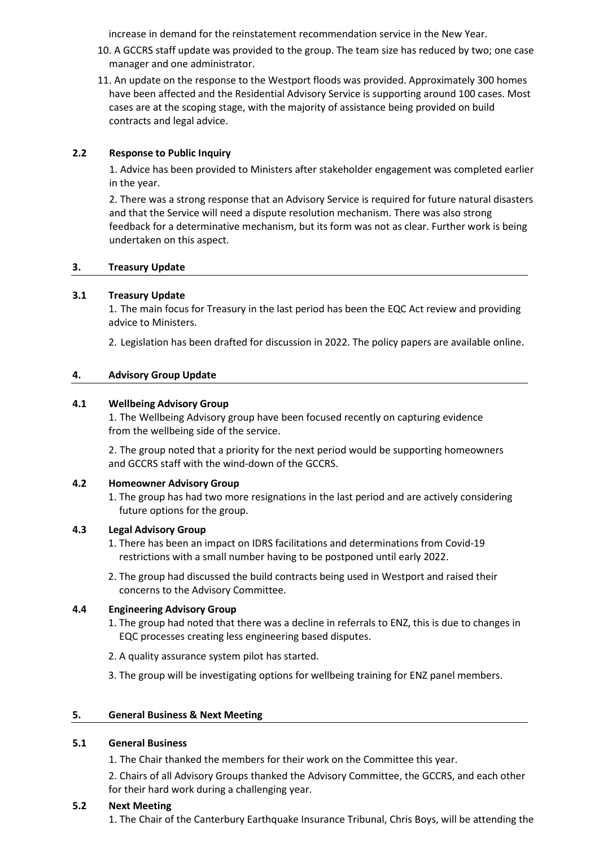increase in demand for the reinstatement recommendation service in the New Year.

- 10. A GCCRS staff update was provided to the group. The team size has reduced by two; one case manager and one administrator.
- 11. An update on the response to the Westport floods was provided. Approximately 300 homes have been affected and the Residential Advisory Service is supporting around 100 cases. Most cases are at the scoping stage, with the majority of assistance being provided on build contracts and legal advice.

# **2.2 Response to Public Inquiry**

1. Advice has been provided to Ministers after stakeholder engagement was completed earlier in the year.

2. There was a strong response that an Advisory Service is required for future natural disasters and that the Service will need a dispute resolution mechanism. There was also strong feedback for a determinative mechanism, but its form was not as clear. Further work is being undertaken on this aspect.

# **3. Treasury Update**

# **3.1 Treasury Update**

1. The main focus for Treasury in the last period has been the EQC Act review and providing advice to Ministers.

2. Legislation has been drafted for discussion in 2022. The policy papers are available online.

#### **4. Advisory Group Update**

#### **4.1 Wellbeing Advisory Group**

1. The Wellbeing Advisory group have been focused recently on capturing evidence from the wellbeing side of the service.

2. The group noted that a priority for the next period would be supporting homeowners and GCCRS staff with the wind-down of the GCCRS.

#### **4.2 Homeowner Advisory Group**

1. The group has had two more resignations in the last period and are actively considering future options for the group.

#### **4.3 Legal Advisory Group**

1. There has been an impact on IDRS facilitations and determinations from Covid-19 restrictions with a small number having to be postponed until early 2022.

2. The group had discussed the build contracts being used in Westport and raised their concerns to the Advisory Committee.

#### **4.4 Engineering Advisory Group**

- 1. The group had noted that there was a decline in referrals to ENZ, this is due to changes in EQC processes creating less engineering based disputes.
- 2. A quality assurance system pilot has started.
- 3. The group will be investigating options for wellbeing training for ENZ panel members.

#### **5. General Business & Next Meeting**

#### **5.1 General Business**

1. The Chair thanked the members for their work on the Committee this year.

2. Chairs of all Advisory Groups thanked the Advisory Committee, the GCCRS, and each other for their hard work during a challenging year.

#### **5.2 Next Meeting**

1. The Chair of the Canterbury Earthquake Insurance Tribunal, Chris Boys, will be attending the